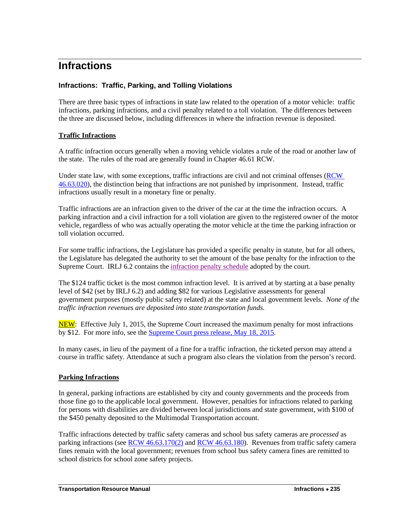# **Infractions**

## **Infractions: Traffic, Parking, and Tolling Violations**

There are three basic types of infractions in state law related to the operation of a motor vehicle: traffic infractions, parking infractions, and a civil penalty related to a toll violation. The differences between the three are discussed below, including differences in where the infraction revenue is deposited.

### **Traffic Infractions**

A traffic infraction occurs generally when a moving vehicle violates a rule of the road or another law of the state. The rules of the road are generally found in Chapter 46.61 RCW.

Under state law, with some exceptions, traffic infractions are civil and not criminal offenses [\(RCW](http://apps.leg.wa.gov/RCW/default.aspx?cite=46.63.020)  [46.63.020\)](http://apps.leg.wa.gov/RCW/default.aspx?cite=46.63.020), the distinction being that infractions are not punished by imprisonment. Instead, traffic infractions usually result in a monetary fine or penalty.

Traffic infractions are an infraction given to the driver of the car at the time the infraction occurs. A parking infraction and a civil infraction for a toll violation are given to the registered owner of the motor vehicle, regardless of who was actually operating the motor vehicle at the time the parking infraction or toll violation occurred.

For some traffic infractions, the Legislature has provided a specific penalty in statute, but for all others, the Legislature has delegated the authority to set the amount of the base penalty for the infraction to the Supreme Court. IRLJ 6.2 contains the [infraction penalty schedule](http://www.courts.wa.gov/court_rules/pdf/CLJIRLJ6.2.pdf) adopted by the court.

The \$124 traffic ticket is the most common infraction level. It is arrived at by starting at a base penalty level of \$42 (set by IRLJ 6.2) and adding \$82 for various Legislative assessments for general government purposes (mostly public safety related) at the state and local government levels. *None of the traffic infraction revenues are deposited into state transportation funds.*

NEW: Effective July 1, 2015, the Supreme Court increased the maximum penalty for most infractions by \$12. For more info, see the [Supreme Court press release, May 18, 2015.](http://www.courts.wa.gov/newsinfo/?fa=newsinfo.pressdetail&newsid=4002)

In many cases, in lieu of the payment of a fine for a traffic infraction, the ticketed person may attend a course in traffic safety. Attendance at such a program also clears the violation from the person's record.

### **Parking Infractions**

In general, parking infractions are established by city and county governments and the proceeds from those fine go to the applicable local government. However, penalties for infractions related to parking for persons with disabilities are divided between local jurisdictions and state government, with \$100 of the \$450 penalty deposited to the Multimodal Transportation account.

Traffic infractions detected by traffic safety cameras and school bus safety cameras are *processed* as parking infractions (see [RCW 46.63.170\(2\)](http://apps.leg.wa.gov/RCW/default.aspx?cite=46.63.170) an[d RCW 46.63.180\)](http://apps.leg.wa.gov/RCW/default.aspx?cite=46.63.180). Revenues from traffic safety camera fines remain with the local government; revenues from school bus safety camera fines are remitted to school districts for school zone safety projects.